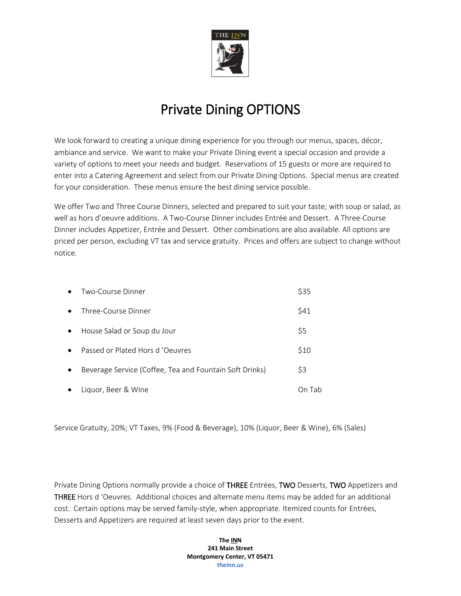

## Private Dining OPTIONS

We look forward to creating a unique dining experience for you through our menus, spaces, décor, ambiance and service. We want to make your Private Dining event a special occasion and provide a variety of options to meet your needs and budget. Reservations of 15 guests or more are required to enter into a Catering Agreement and select from our Private Dining Options. Special menus are created for your consideration. These menus ensure the best dining service possible.

We offer Two and Three Course Dinners, selected and prepared to suit your taste; with soup or salad, as well as hors d'oeuvre additions. A Two-Course Dinner includes Entrée and Dessert. A Three-Course Dinner includes Appetizer, Entrée and Dessert. Other combinations are also available. All options are priced per person, excluding VT tax and service gratuity. Prices and offers are subject to change without notice.

| $\bullet$ | Two-Course Dinner                                       | \$35 |
|-----------|---------------------------------------------------------|------|
| $\bullet$ | Three-Course Dinner                                     | \$41 |
| $\bullet$ | House Salad or Soup du Jour                             | \$5  |
| $\bullet$ | Passed or Plated Hors d'Oeuvres                         | \$10 |
| $\bullet$ | Beverage Service (Coffee, Tea and Fountain Soft Drinks) | \$3  |
| $\bullet$ | Liguor, Beer & Wine                                     | Tah  |

Service Gratuity, 20%; VT Taxes, 9% (Food & Beverage), 10% (Liquor, Beer & Wine), 6% (Sales)

Private Dining Options normally provide a choice of THREE Entrées, TWO Desserts, TWO Appetizers and THREE Hors d 'Oeuvres. Additional choices and alternate menu items may be added for an additional cost. Certain options may be served family-style, when appropriate. Itemized counts for Entrées, Desserts and Appetizers are required at least seven days prior to the event.

> **The INN 241 Main Street Montgomery Center, VT 05471 theinn.us**